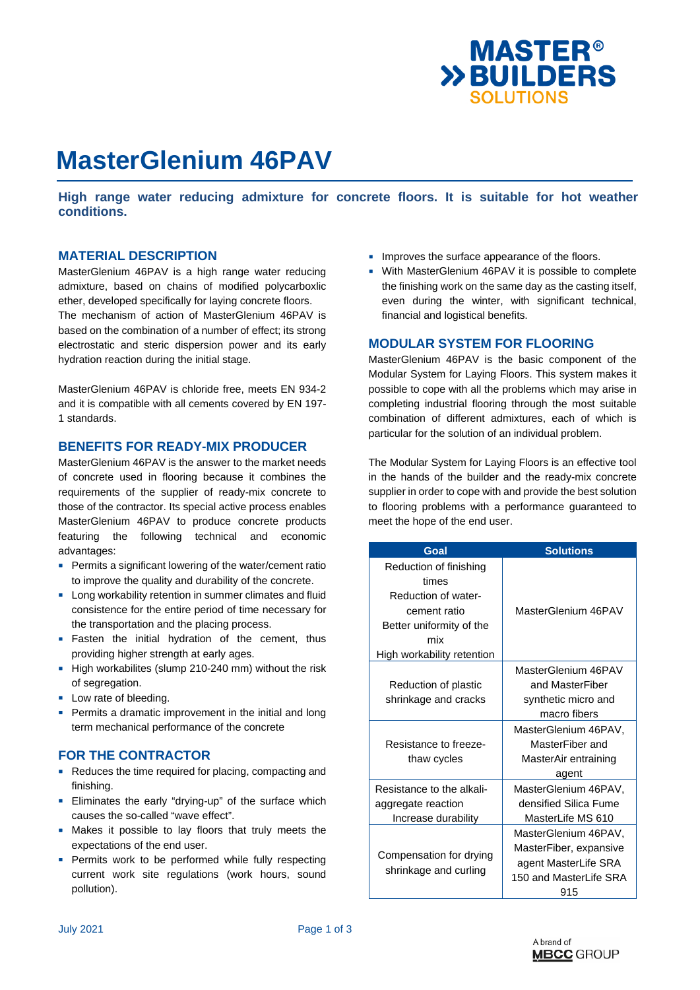

# **MasterGlenium 46PAV**

**High range water reducing admixture for concrete floors. It is suitable for hot weather conditions.** 

### **MATERIAL DESCRIPTION**

MasterGlenium 46PAV is a high range water reducing admixture, based on chains of modified polycarboxlic ether, developed specifically for laying concrete floors. The mechanism of action of MasterGlenium 46PAV is based on the combination of a number of effect; its strong electrostatic and steric dispersion power and its early hydration reaction during the initial stage.

MasterGlenium 46PAV is chloride free, meets EN 934-2 and it is compatible with all cements covered by EN 197- 1 standards.

### **BENEFITS FOR READY-MIX PRODUCER**

MasterGlenium 46PAV is the answer to the market needs of concrete used in flooring because it combines the requirements of the supplier of ready-mix concrete to those of the contractor. Its special active process enables MasterGlenium 46PAV to produce concrete products featuring the following technical and economic advantages:

- **Permits a significant lowering of the water/cement ratio** to improve the quality and durability of the concrete.
- **Long workability retention in summer climates and fluid** consistence for the entire period of time necessary for the transportation and the placing process.
- **Fasten** the initial hydration of the cement, thus providing higher strength at early ages.
- High workabilites (slump 210-240 mm) without the risk of segregation.
- **Low rate of bleeding.**
- Permits a dramatic improvement in the initial and long term mechanical performance of the concrete

## **FOR THE CONTRACTOR**

- Reduces the time required for placing, compacting and finishing.
- **Eliminates the early "drying-up" of the surface which** causes the so-called "wave effect".
- **Makes it possible to lay floors that truly meets the** expectations of the end user.
- **Permits work to be performed while fully respecting** current work site regulations (work hours, sound pollution).
- **IMPROVES the surface appearance of the floors.**
- **With MasterGlenium 46PAV it is possible to complete** the finishing work on the same day as the casting itself, even during the winter, with significant technical, financial and logistical benefits.

### **MODULAR SYSTEM FOR FLOORING**

MasterGlenium 46PAV is the basic component of the Modular System for Laying Floors. This system makes it possible to cope with all the problems which may arise in completing industrial flooring through the most suitable combination of different admixtures, each of which is particular for the solution of an individual problem.

The Modular System for Laying Floors is an effective tool in the hands of the builder and the ready-mix concrete supplier in order to cope with and provide the best solution to flooring problems with a performance guaranteed to meet the hope of the end user.

| Goal                                                                                                                                    | <b>Solutions</b>                                                                                        |
|-----------------------------------------------------------------------------------------------------------------------------------------|---------------------------------------------------------------------------------------------------------|
| Reduction of finishing<br>times<br>Reduction of water-<br>cement ratio<br>Better uniformity of the<br>mix<br>High workability retention | MasterGlenium 46PAV                                                                                     |
| Reduction of plastic<br>shrinkage and cracks                                                                                            | MasterGlenium 46PAV<br>and MasterFiber<br>synthetic micro and<br>macro fibers                           |
| Resistance to freeze-<br>thaw cycles                                                                                                    | MasterGlenium 46PAV,<br>MasterFiber and<br>MasterAir entraining<br>agent                                |
| Resistance to the alkali-<br>aggregate reaction<br>Increase durability                                                                  | MasterGlenium 46PAV,<br>densified Silica Fume<br>MasterLife MS 610                                      |
| Compensation for drying<br>shrinkage and curling                                                                                        | MasterGlenium 46PAV,<br>MasterFiber, expansive<br>agent MasterLife SRA<br>150 and MasterLife SRA<br>915 |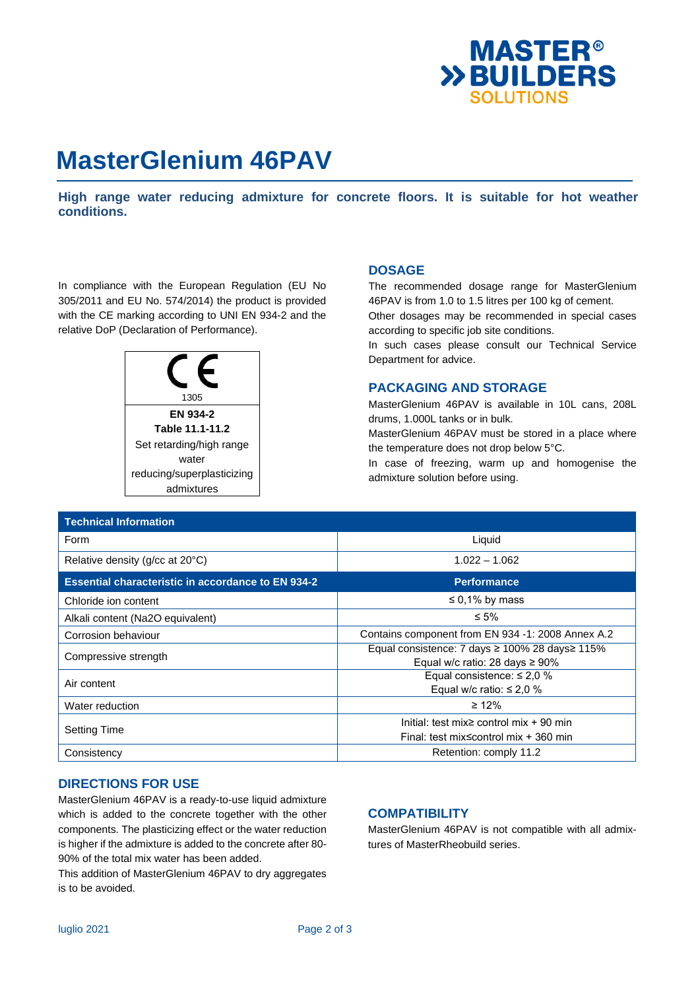

## **MasterGlenium 46PAV**

**High range water reducing admixture for concrete floors. It is suitable for hot weather conditions.** 

In compliance with the European Regulation (EU No 305/2011 and EU No. 574/2014) the product is provided with the CE marking according to UNI EN 934-2 and the relative DoP (Declaration of Performance).



### **DOSAGE**

The recommended dosage range for MasterGlenium 46PAV is from 1.0 to 1.5 litres per 100 kg of cement. Other dosages may be recommended in special cases

according to specific job site conditions.

In such cases please consult our Technical Service Department for advice.

## **PACKAGING AND STORAGE**

MasterGlenium 46PAV is available in 10L cans, 208L drums, 1.000L tanks or in bulk.

MasterGlenium 46PAV must be stored in a place where the temperature does not drop below 5°C.

In case of freezing, warm up and homogenise the admixture solution before using.

| <b>Technical Information</b>                              |                                                                                                   |
|-----------------------------------------------------------|---------------------------------------------------------------------------------------------------|
| Form                                                      | Liquid                                                                                            |
| Relative density ( $q$ /cc at 20 $^{\circ}$ C)            | $1.022 - 1.062$                                                                                   |
| <b>Essential characteristic in accordance to EN 934-2</b> | <b>Performance</b>                                                                                |
| Chloride ion content                                      | $\leq$ 0,1% by mass                                                                               |
| Alkali content (Na2O equivalent)                          | $\leq 5\%$                                                                                        |
| Corrosion behaviour                                       | Contains component from EN 934 -1: 2008 Annex A.2                                                 |
| Compressive strength                                      | Equal consistence: 7 days $\geq$ 100% 28 days $\geq$ 115%<br>Equal w/c ratio: 28 days $\geq 90\%$ |
| Air content                                               | Equal consistence: $\leq 2.0$ %<br>Equal w/c ratio: $\leq 2.0$ %                                  |
| Water reduction                                           | $\geq 12\%$                                                                                       |
| <b>Setting Time</b>                                       | Initial: test mix $\ge$ control mix + 90 min<br>Final: test mix≤control mix + 360 min             |
| Consistency                                               | Retention: comply 11.2                                                                            |

## **DIRECTIONS FOR USE**

MasterGlenium 46PAV is a ready-to-use liquid admixture which is added to the concrete together with the other components. The plasticizing effect or the water reduction is higher if the admixture is added to the concrete after 80- 90% of the total mix water has been added.

This addition of MasterGlenium 46PAV to dry aggregates is to be avoided.

## **COMPATIBILITY**

MasterGlenium 46PAV is not compatible with all admixtures of MasterRheobuild series.